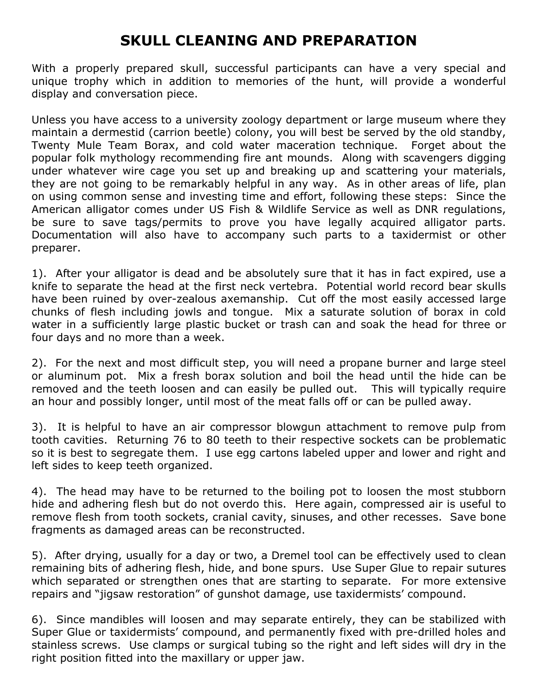## **SKULL CLEANING AND PREPARATION**

With a properly prepared skull, successful participants can have a very special and unique trophy which in addition to memories of the hunt, will provide a wonderful display and conversation piece.

Unless you have access to a university zoology department or large museum where they maintain a dermestid (carrion beetle) colony, you will best be served by the old standby, Twenty Mule Team Borax, and cold water maceration technique. Forget about the popular folk mythology recommending fire ant mounds. Along with scavengers digging under whatever wire cage you set up and breaking up and scattering your materials, they are not going to be remarkably helpful in any way. As in other areas of life, plan on using common sense and investing time and effort, following these steps: Since the American alligator comes under US Fish & Wildlife Service as well as DNR regulations, be sure to save tags/permits to prove you have legally acquired alligator parts. Documentation will also have to accompany such parts to a taxidermist or other preparer.

1). After your alligator is dead and be absolutely sure that it has in fact expired, use a knife to separate the head at the first neck vertebra. Potential world record bear skulls have been ruined by over-zealous axemanship. Cut off the most easily accessed large chunks of flesh including jowls and tongue. Mix a saturate solution of borax in cold water in a sufficiently large plastic bucket or trash can and soak the head for three or four days and no more than a week.

2). For the next and most difficult step, you will need a propane burner and large steel or aluminum pot. Mix a fresh borax solution and boil the head until the hide can be removed and the teeth loosen and can easily be pulled out. This will typically require an hour and possibly longer, until most of the meat falls off or can be pulled away.

3). It is helpful to have an air compressor blowgun attachment to remove pulp from tooth cavities. Returning 76 to 80 teeth to their respective sockets can be problematic so it is best to segregate them. I use egg cartons labeled upper and lower and right and left sides to keep teeth organized.

4). The head may have to be returned to the boiling pot to loosen the most stubborn hide and adhering flesh but do not overdo this. Here again, compressed air is useful to remove flesh from tooth sockets, cranial cavity, sinuses, and other recesses. Save bone fragments as damaged areas can be reconstructed.

5). After drying, usually for a day or two, a Dremel tool can be effectively used to clean remaining bits of adhering flesh, hide, and bone spurs. Use Super Glue to repair sutures which separated or strengthen ones that are starting to separate. For more extensive repairs and "jigsaw restoration" of gunshot damage, use taxidermists' compound.

6). Since mandibles will loosen and may separate entirely, they can be stabilized with Super Glue or taxidermists' compound, and permanently fixed with pre-drilled holes and stainless screws. Use clamps or surgical tubing so the right and left sides will dry in the right position fitted into the maxillary or upper jaw.